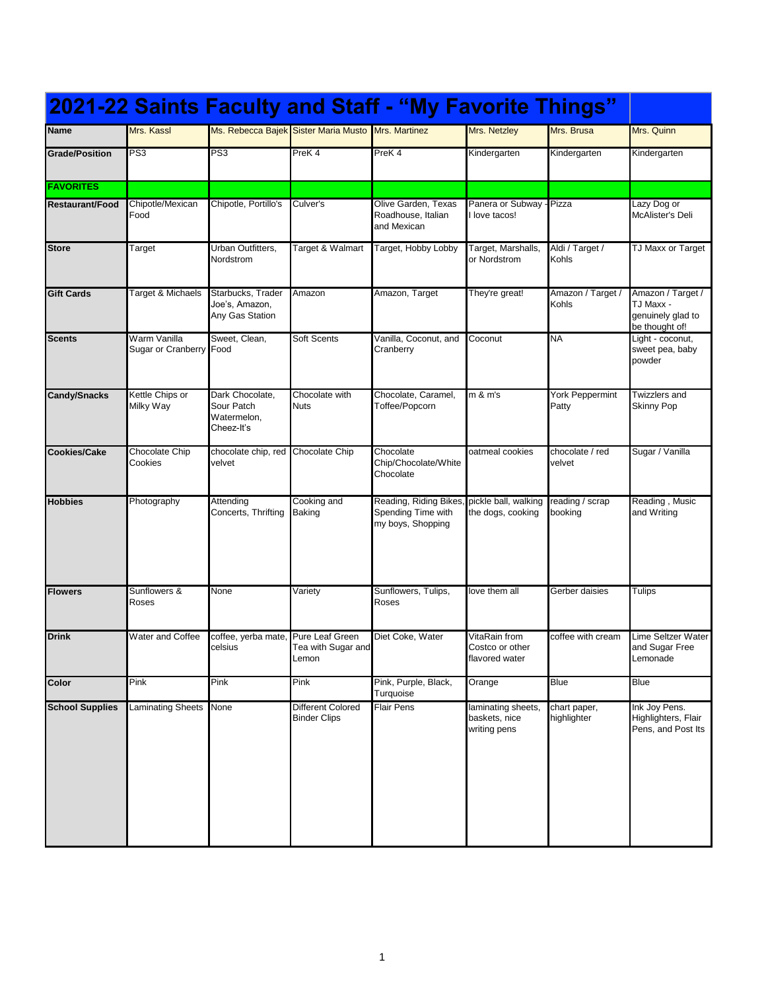|                        |                                         |                                                            |                                                    | 2021-22 Saints Faculty and Staff - "My Favorite Things"           |                                                     |                             |                                                                       |
|------------------------|-----------------------------------------|------------------------------------------------------------|----------------------------------------------------|-------------------------------------------------------------------|-----------------------------------------------------|-----------------------------|-----------------------------------------------------------------------|
| <b>Name</b>            | Mrs. Kassl                              |                                                            | Ms. Rebecca Bajek Sister Maria Musto Mrs. Martinez |                                                                   | Mrs. Netzley                                        | Mrs. Brusa                  | Mrs. Quinn                                                            |
| <b>Grade/Position</b>  | PS3                                     | PS3                                                        | PreK <sub>4</sub>                                  | PreK <sub>4</sub>                                                 | Kindergarten                                        | Kindergarten                | Kindergarten                                                          |
| <b>FAVORITES</b>       |                                         |                                                            |                                                    |                                                                   |                                                     |                             |                                                                       |
| <b>Restaurant/Food</b> | Chipotle/Mexican<br>Food                | Chipotle, Portillo's                                       | Culver's                                           | Olive Garden, Texas<br>Roadhouse. Italian<br>and Mexican          | Panera or Subway - Pizza<br>l love tacos!           |                             | Lazy Dog or<br>McAlister's Deli                                       |
| <b>Store</b>           | Target                                  | Urban Outfitters,<br>Nordstrom                             | Target & Walmart                                   | Target, Hobby Lobby                                               | Target, Marshalls,<br>or Nordstrom                  | Aldi / Target /<br>Kohls    | TJ Maxx or Target                                                     |
| <b>Gift Cards</b>      | Target & Michaels                       | Starbucks, Trader<br>Joe's, Amazon,<br>Any Gas Station     | Amazon                                             | Amazon, Target                                                    | They're great!                                      | Amazon / Target /<br>Kohls  | Amazon / Target /<br>TJ Maxx -<br>genuinely glad to<br>be thought of! |
| <b>Scents</b>          | Warm Vanilla<br>Sugar or Cranberry Food | Sweet, Clean,                                              | Soft Scents                                        | Vanilla, Coconut, and<br>Cranberry                                | Coconut                                             | <b>NA</b>                   | Light - coconut,<br>sweet pea, baby<br>powder                         |
| <b>Candy/Snacks</b>    | Kettle Chips or<br>Milky Way            | Dark Chocolate.<br>Sour Patch<br>Watermelon,<br>Cheez-It's | Chocolate with<br><b>Nuts</b>                      | Chocolate, Caramel,<br>Toffee/Popcorn                             | m & m's                                             | York Peppermint<br>Patty    | Twizzlers and<br><b>Skinny Pop</b>                                    |
| <b>Cookies/Cake</b>    | Chocolate Chip<br>Cookies               | chocolate chip, red<br>velvet                              | <b>Chocolate Chip</b>                              | Chocolate<br>Chip/Chocolate/White<br>Chocolate                    | oatmeal cookies                                     | chocolate / red<br>velvet   | Sugar / Vanilla                                                       |
| <b>Hobbies</b>         | Photography                             | Attending<br>Concerts, Thrifting                           | Cooking and<br>Baking                              | Reading, Riding Bikes,<br>Spending Time with<br>my boys, Shopping | pickle ball, walking<br>the dogs, cooking           | reading / scrap<br>booking  | Reading, Music<br>and Writing                                         |
| <b>Flowers</b>         | Sunflowers &<br>Roses                   | None                                                       | Variety                                            | Sunflowers, Tulips,<br>Roses                                      | love them all                                       | Gerber daisies              | Tulips                                                                |
| <b>Drink</b>           | Water and Coffee                        | coffee, yerba mate, Pure Leaf Green<br>celsius             | Tea with Sugar and<br>Lemon                        | Diet Coke, Water                                                  | VitaRain from<br>Costco or other<br>flavored water  | coffee with cream           | Lime Seltzer Water<br>and Sugar Free<br>Lemonade                      |
| Color                  | Pink                                    | Pink                                                       | Pink                                               | Pink, Purple, Black,<br>Turquoise                                 | Orange                                              | <b>Blue</b>                 | <b>Blue</b>                                                           |
| <b>School Supplies</b> | <b>Laminating Sheets</b>                | None                                                       | Different Colored<br><b>Binder Clips</b>           | <b>Flair Pens</b>                                                 | laminating sheets,<br>baskets, nice<br>writing pens | chart paper,<br>highlighter | Ink Joy Pens.<br>Highlighters, Flair<br>Pens, and Post Its            |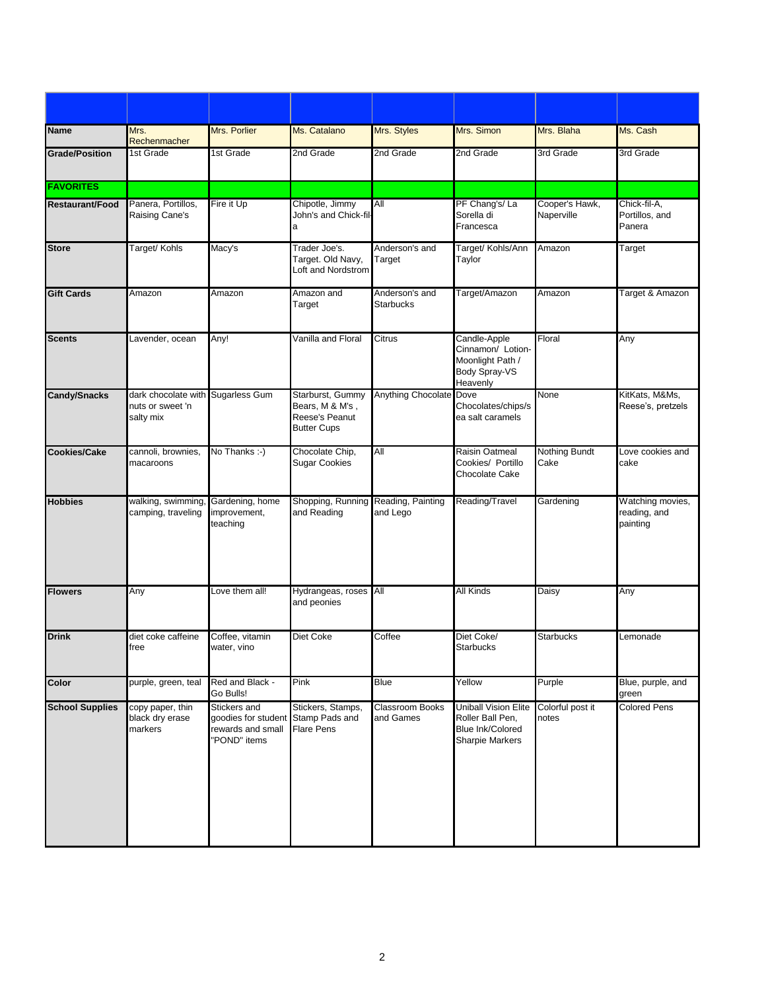| <b>Name</b>            | Mrs.<br>Rechenmacher                                               | Mrs. Porlier                                                                            | Ms. Catalano                                                                | Mrs. Styles                         | Mrs. Simon                                                                                    | Mrs. Blaha                   | Ms. Cash                                     |
|------------------------|--------------------------------------------------------------------|-----------------------------------------------------------------------------------------|-----------------------------------------------------------------------------|-------------------------------------|-----------------------------------------------------------------------------------------------|------------------------------|----------------------------------------------|
| <b>Grade/Position</b>  | 1st Grade                                                          | 1st Grade                                                                               | 2nd Grade                                                                   | 2nd Grade                           | 2nd Grade                                                                                     | 3rd Grade                    | 3rd Grade                                    |
| <b>FAVORITES</b>       |                                                                    |                                                                                         |                                                                             |                                     |                                                                                               |                              |                                              |
| <b>Restaurant/Food</b> | Panera, Portillos,<br>Raising Cane's                               | Fire it Up                                                                              | Chipotle, Jimmy<br>John's and Chick-fil-<br>a                               | All                                 | PF Chang's/La<br>Sorella di<br>Francesca                                                      | Cooper's Hawk,<br>Naperville | Chick-fil-A,<br>Portillos, and<br>Panera     |
| <b>Store</b>           | Target/ Kohls                                                      | Macy's                                                                                  | Trader Joe's.<br>Target. Old Navy,<br>Loft and Nordstrom                    | Anderson's and<br>Target            | Target/ Kohls/Ann<br>Taylor                                                                   | Amazon                       | Target                                       |
| <b>Gift Cards</b>      | Amazon                                                             | Amazon                                                                                  | Amazon and<br>Target                                                        | Anderson's and<br><b>Starbucks</b>  | Target/Amazon                                                                                 | Amazon                       | Target & Amazon                              |
| <b>Scents</b>          | Lavender, ocean                                                    | Any!                                                                                    | Vanilla and Floral                                                          | Citrus                              | Candle-Apple<br>Cinnamon/ Lotion-<br>Moonlight Path /<br>Body Spray-VS<br>Heavenly            | Floral                       | Any                                          |
| <b>Candy/Snacks</b>    | dark chocolate with Sugarless Gum<br>nuts or sweet 'n<br>salty mix |                                                                                         | Starburst, Gummy<br>Bears, M & M's,<br>Reese's Peanut<br><b>Butter Cups</b> | <b>Anything Chocolate Dove</b>      | Chocolates/chips/s<br>ea salt caramels                                                        | None                         | KitKats, M&Ms,<br>Reese's, pretzels          |
| Cookies/Cake           | cannoli, brownies,<br>macaroons                                    | No Thanks :-)                                                                           | Chocolate Chip,<br><b>Sugar Cookies</b>                                     | All                                 | Raisin Oatmeal<br>Cookies/ Portillo<br>Chocolate Cake                                         | <b>Nothing Bundt</b><br>Cake | Love cookies and<br>cake                     |
| <b>Hobbies</b>         | walking, swimming,<br>camping, traveling                           | Gardening, home<br>improvement,<br>teaching                                             | Shopping, Running Reading, Painting<br>and Reading                          | and Lego                            | Reading/Travel                                                                                | Gardening                    | Watching movies,<br>reading, and<br>painting |
| <b>Flowers</b>         | Any                                                                | Love them all!                                                                          | Hydrangeas, roses All<br>and peonies                                        |                                     | All Kinds                                                                                     | <b>Daisy</b>                 | Any                                          |
| <b>Drink</b>           | diet coke caffeine<br>free                                         | Coffee, vitamin<br>water, vino                                                          | Diet Coke                                                                   | Coffee                              | Diet Coke/<br><b>Starbucks</b>                                                                | <b>Starbucks</b>             | Lemonade                                     |
| Color                  | purple, green, teal                                                | Red and Black -<br>Go Bulls!                                                            | Pink                                                                        | <b>Blue</b>                         | Yellow                                                                                        | Purple                       | Blue, purple, and<br>green                   |
| <b>School Supplies</b> | copy paper, thin<br>black dry erase<br>markers                     | Stickers and<br>goodies for student Stamp Pads and<br>rewards and small<br>"POND" items | Stickers, Stamps,<br><b>Flare Pens</b>                                      | <b>Classroom Books</b><br>and Games | <b>Uniball Vision Elite</b><br>Roller Ball Pen,<br>Blue Ink/Colored<br><b>Sharpie Markers</b> | Colorful post it<br>notes    | <b>Colored Pens</b>                          |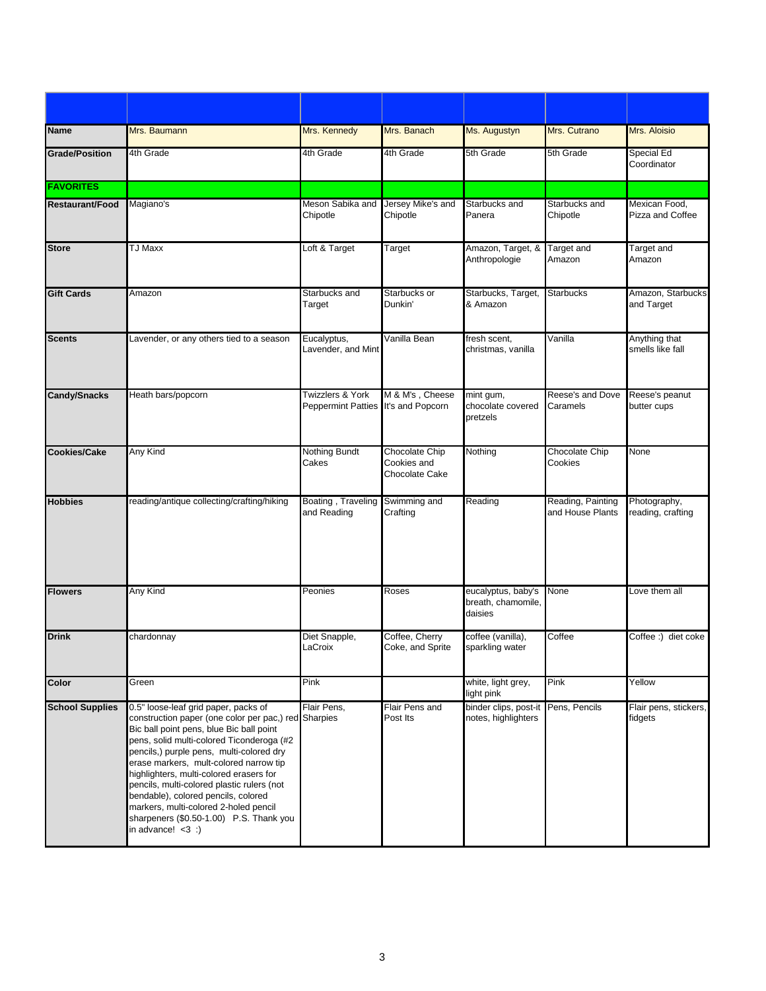| <b>Name</b>            | Mrs. Baumann                                                                                                                                                                                                                                                                                                                                                                                                                                                                                                            | Mrs. Kennedy                                            | Mrs. Banach                                     | Ms. Augustyn                                        | Mrs. Cutrano                          | Mrs. Aloisio                      |
|------------------------|-------------------------------------------------------------------------------------------------------------------------------------------------------------------------------------------------------------------------------------------------------------------------------------------------------------------------------------------------------------------------------------------------------------------------------------------------------------------------------------------------------------------------|---------------------------------------------------------|-------------------------------------------------|-----------------------------------------------------|---------------------------------------|-----------------------------------|
| <b>Grade/Position</b>  | 4th Grade                                                                                                                                                                                                                                                                                                                                                                                                                                                                                                               | 4th Grade                                               | 4th Grade                                       | 5th Grade                                           | 5th Grade                             | <b>Special Ed</b><br>Coordinator  |
| <b>FAVORITES</b>       |                                                                                                                                                                                                                                                                                                                                                                                                                                                                                                                         |                                                         |                                                 |                                                     |                                       |                                   |
| <b>Restaurant/Food</b> | Magiano's                                                                                                                                                                                                                                                                                                                                                                                                                                                                                                               | Meson Sabika and Jersey Mike's and<br>Chipotle          | Chipotle                                        | Starbucks and<br>Panera                             | Starbucks and<br>Chipotle             | Mexican Food,<br>Pizza and Coffee |
| <b>Store</b>           | <b>TJ Maxx</b>                                                                                                                                                                                                                                                                                                                                                                                                                                                                                                          | Loft & Target                                           | Target                                          | Amazon, Target, &<br>Anthropologie                  | Target and<br>Amazon                  | Target and<br>Amazon              |
| <b>Gift Cards</b>      | Amazon                                                                                                                                                                                                                                                                                                                                                                                                                                                                                                                  | Starbucks and<br>Target                                 | Starbucks or<br>Dunkin'                         | Starbucks, Target,<br>& Amazon                      | <b>Starbucks</b>                      | Amazon, Starbucks<br>and Target   |
| <b>Scents</b>          | Lavender, or any others tied to a season                                                                                                                                                                                                                                                                                                                                                                                                                                                                                | Eucalyptus,<br>Lavender, and Mint                       | Vanilla Bean                                    | fresh scent,<br>christmas, vanilla                  | Vanilla                               | Anything that<br>smells like fall |
| <b>Candy/Snacks</b>    | Heath bars/popcorn                                                                                                                                                                                                                                                                                                                                                                                                                                                                                                      | Twizzlers & York<br>Peppermint Patties It's and Popcorn | M & M's, Cheese                                 | mint gum,<br>chocolate covered<br>pretzels          | Reese's and Dove<br>Caramels          | Reese's peanut<br>butter cups     |
| <b>Cookies/Cake</b>    | Any Kind                                                                                                                                                                                                                                                                                                                                                                                                                                                                                                                | <b>Nothing Bundt</b><br>Cakes                           | Chocolate Chip<br>Cookies and<br>Chocolate Cake | Nothing                                             | Chocolate Chip<br>Cookies             | None                              |
| <b>Hobbies</b>         | reading/antique collecting/crafting/hiking                                                                                                                                                                                                                                                                                                                                                                                                                                                                              | Boating, Traveling<br>and Reading                       | Swimming and<br>Crafting                        | Reading                                             | Reading, Painting<br>and House Plants | Photography,<br>reading, crafting |
| <b>Flowers</b>         | Any Kind                                                                                                                                                                                                                                                                                                                                                                                                                                                                                                                | Peonies                                                 | Roses                                           | eucalyptus, baby's<br>breath, chamomile,<br>daisies | None                                  | Love them all                     |
| <b>Drink</b>           | chardonnay                                                                                                                                                                                                                                                                                                                                                                                                                                                                                                              | Diet Snapple,<br>LaCroix                                | Coffee, Cherry<br>Coke, and Sprite              | coffee (vanilla),<br>sparkling water                | Coffee                                | Coffee:) diet coke                |
| Color                  | Green                                                                                                                                                                                                                                                                                                                                                                                                                                                                                                                   | Pink                                                    |                                                 | white, light grey,<br>light pink                    | Pink                                  | Yellow                            |
| <b>School Supplies</b> | 0.5" loose-leaf grid paper, packs of<br>construction paper (one color per pac,) red Sharpies<br>Bic ball point pens, blue Bic ball point<br>pens, solid multi-colored Ticonderoga (#2<br>pencils,) purple pens, multi-colored dry<br>erase markers, mult-colored narrow tip<br>highlighters, multi-colored erasers for<br>pencils, multi-colored plastic rulers (not<br>bendable), colored pencils, colored<br>markers, multi-colored 2-holed pencil<br>sharpeners (\$0.50-1.00) P.S. Thank you<br>in advance! $<$ 3 :) | Flair Pens,                                             | Flair Pens and<br>Post Its                      | binder clips, post-it<br>notes, highlighters        | Pens, Pencils                         | Flair pens, stickers,<br>fidgets  |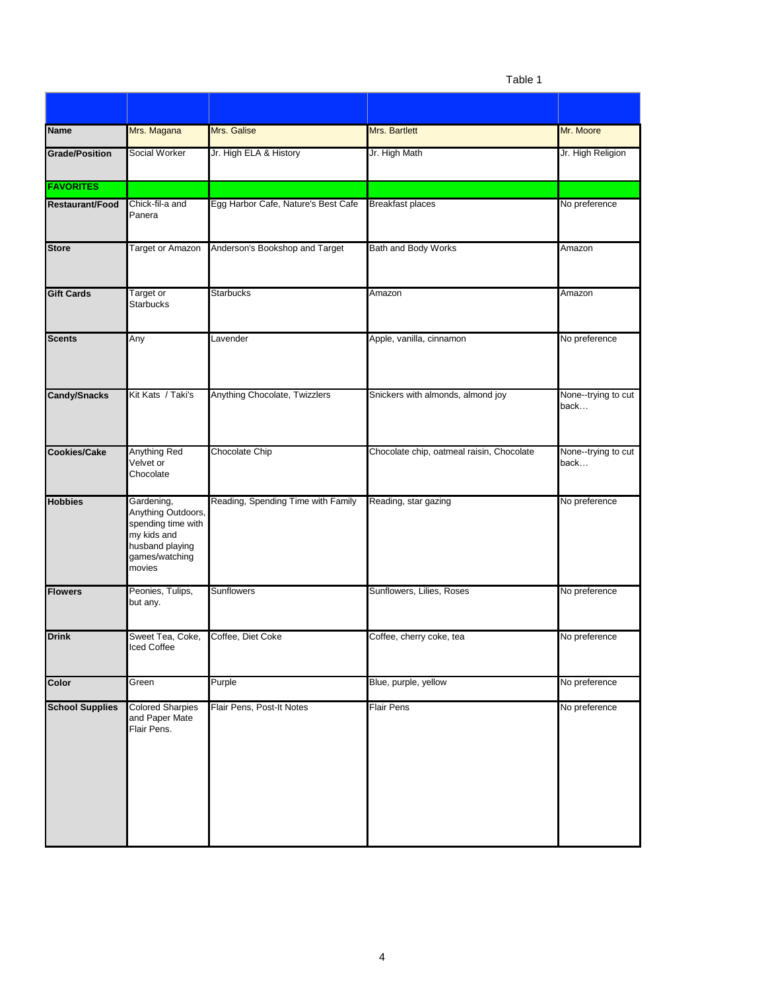Table 1

| <b>Name</b>            | Mrs. Magana                                                                                                          | Mrs. Galise                         | Mrs. Bartlett                             | Mr. Moore                    |
|------------------------|----------------------------------------------------------------------------------------------------------------------|-------------------------------------|-------------------------------------------|------------------------------|
| <b>Grade/Position</b>  | <b>Social Worker</b>                                                                                                 | Jr. High ELA & History              | Jr. High Math                             | Jr. High Religion            |
| <b>FAVORITES</b>       |                                                                                                                      |                                     |                                           |                              |
| Restaurant/Food        | Chick-fil-a and<br>Panera                                                                                            | Egg Harbor Cafe, Nature's Best Cafe | <b>Breakfast places</b>                   | No preference                |
| <b>Store</b>           | <b>Target or Amazon</b>                                                                                              | Anderson's Bookshop and Target      | Bath and Body Works                       | Amazon                       |
| <b>Gift Cards</b>      | Target or<br><b>Starbucks</b>                                                                                        | <b>Starbucks</b>                    | Amazon                                    | Amazon                       |
| <b>Scents</b>          | Any                                                                                                                  | Lavender                            | Apple, vanilla, cinnamon                  | No preference                |
| <b>Candy/Snacks</b>    | Kit Kats / Taki's                                                                                                    | Anything Chocolate, Twizzlers       | Snickers with almonds, almond joy         | None--trying to cut<br>back… |
| <b>Cookies/Cake</b>    | Anything Red<br>Velvet or<br>Chocolate                                                                               | Chocolate Chip                      | Chocolate chip, oatmeal raisin, Chocolate | None--trying to cut<br>back  |
| <b>Hobbies</b>         | Gardening,<br>Anything Outdoors,<br>spending time with<br>my kids and<br>husband playing<br>games/watching<br>movies | Reading, Spending Time with Family  | Reading, star gazing                      | No preference                |
| <b>Flowers</b>         | Peonies, Tulips,<br>but any.                                                                                         | Sunflowers                          | Sunflowers, Lilies, Roses                 | No preference                |
| <b>Drink</b>           | Sweet Tea, Coke,<br>Iced Coffee                                                                                      | Coffee, Diet Coke                   | Coffee, cherry coke, tea                  | No preference                |
| Color                  | Green                                                                                                                | Purple                              | Blue, purple, yellow                      | No preference                |
| <b>School Supplies</b> | <b>Colored Sharpies</b><br>and Paper Mate<br>Flair Pens.                                                             | Flair Pens, Post-It Notes           | <b>Flair Pens</b>                         | No preference                |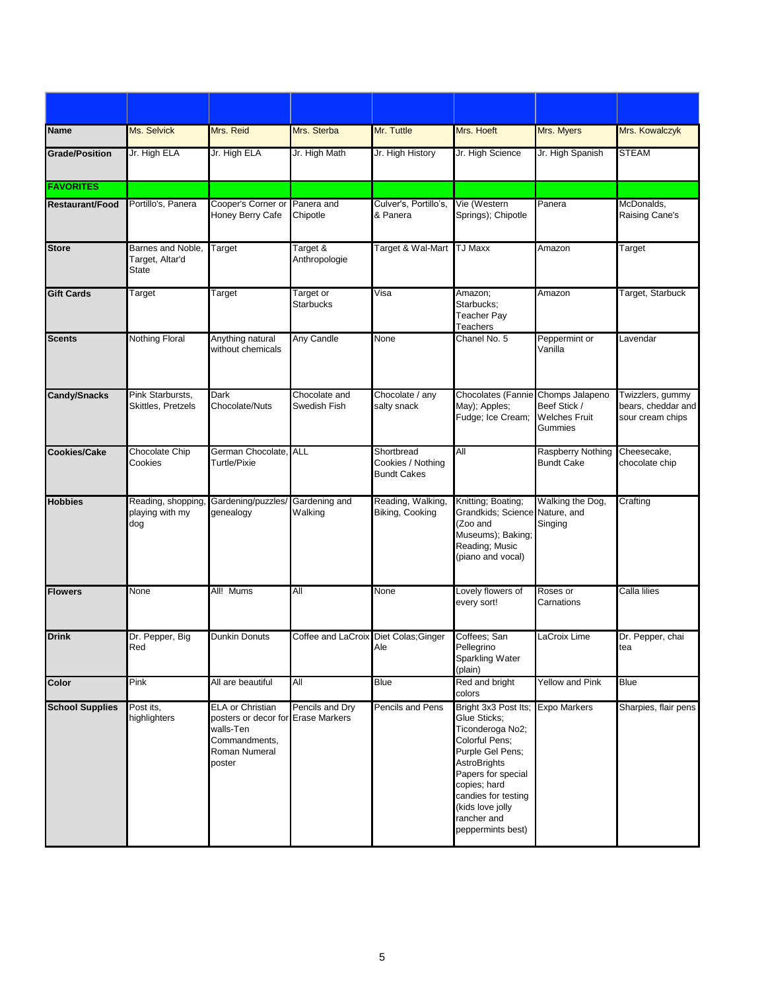| <b>Name</b>            | Ms. Selvick                                   | Mrs. Reid                                                                                                              | Mrs. Sterba                           | Mr. Tuttle                                            | Mrs. Hoeft                                                                                                                                                                                                                                              | Mrs. Myers                                      | Mrs. Kowalczyk                                             |
|------------------------|-----------------------------------------------|------------------------------------------------------------------------------------------------------------------------|---------------------------------------|-------------------------------------------------------|---------------------------------------------------------------------------------------------------------------------------------------------------------------------------------------------------------------------------------------------------------|-------------------------------------------------|------------------------------------------------------------|
| <b>Grade/Position</b>  | Jr. High ELA                                  | Jr. High ELA                                                                                                           | Jr. High Math                         | Jr. High History                                      | Jr. High Science                                                                                                                                                                                                                                        | Jr. High Spanish                                | <b>STEAM</b>                                               |
| <b>FAVORITES</b>       |                                               |                                                                                                                        |                                       |                                                       |                                                                                                                                                                                                                                                         |                                                 |                                                            |
| <b>Restaurant/Food</b> | Portillo's, Panera                            | Cooper's Corner or<br>Honey Berry Cafe                                                                                 | Panera and<br>Chipotle                | Culver's, Portillo's,<br>& Panera                     | Vie (Western<br>Springs); Chipotle                                                                                                                                                                                                                      | Panera                                          | McDonalds,<br>Raising Cane's                               |
| <b>Store</b>           | Barnes and Noble,<br>Target, Altar'd<br>State | Target                                                                                                                 | Target &<br>Anthropologie             | Target & Wal-Mart                                     | <b>TJ Maxx</b>                                                                                                                                                                                                                                          | Amazon                                          | Target                                                     |
| <b>Gift Cards</b>      | Target                                        | Target                                                                                                                 | Target or<br>Starbucks                | Visa                                                  | Amazon;<br>Starbucks;<br>Teacher Pay<br>Teachers                                                                                                                                                                                                        | Amazon                                          | Target, Starbuck                                           |
| <b>Scents</b>          | <b>Nothing Floral</b>                         | Anything natural<br>without chemicals                                                                                  | Any Candle                            | None                                                  | Chanel No. 5                                                                                                                                                                                                                                            | Peppermint or<br>Vanilla                        | Lavendar                                                   |
| <b>Candy/Snacks</b>    | Pink Starbursts,<br>Skittles, Pretzels        | Dark<br>Chocolate/Nuts                                                                                                 | Chocolate and<br>Swedish Fish         | Chocolate / any<br>salty snack                        | Chocolates (Fannie Chomps Jalapeno<br>May); Apples;<br>Fudge; Ice Cream;                                                                                                                                                                                | Beef Stick /<br><b>Welches Fruit</b><br>Gummies | Twizzlers, gummy<br>bears, cheddar and<br>sour cream chips |
| <b>Cookies/Cake</b>    | Chocolate Chip<br>Cookies                     | German Chocolate, ALL<br>Turtle/Pixie                                                                                  |                                       | Shortbread<br>Cookies / Nothing<br><b>Bundt Cakes</b> | All                                                                                                                                                                                                                                                     | Raspberry Nothing<br><b>Bundt Cake</b>          | Cheesecake,<br>chocolate chip                              |
| <b>Hobbies</b>         | Reading, shopping<br>playing with my<br>dog   | Gardening/puzzles/<br>genealogy                                                                                        | Gardening and<br>Walking              | Reading, Walking,<br>Biking, Cooking                  | Knitting; Boating;<br>Grandkids; Science Nature, and<br>(Zoo and<br>Museums); Baking;<br>Reading; Music<br>(piano and vocal)                                                                                                                            | Walking the Dog,<br>Singing                     | Crafting                                                   |
| <b>Flowers</b>         | None                                          | All! Mums                                                                                                              | All                                   | None                                                  | Lovely flowers of<br>every sort!                                                                                                                                                                                                                        | Roses or<br>Carnations                          | Calla lilies                                               |
| <b>Drink</b>           | Dr. Pepper, Big<br>Red                        | <b>Dunkin Donuts</b>                                                                                                   | Coffee and LaCroix Diet Colas; Ginger | Ale                                                   | Coffees; San<br>Pellegrino<br>Sparkling Water<br>(plain)                                                                                                                                                                                                | LaCroix Lime                                    | Dr. Pepper, chai<br>tea                                    |
| Color                  | Pink                                          | All are beautiful                                                                                                      | All                                   | <b>Blue</b>                                           | Red and bright<br>colors                                                                                                                                                                                                                                | <b>Yellow and Pink</b>                          | <b>Blue</b>                                                |
| <b>School Supplies</b> | Post its,<br>highlighters                     | <b>ELA or Christian</b><br>posters or decor for Erase Markers<br>walls-Ten<br>Commandments,<br>Roman Numeral<br>poster | Pencils and Dry                       | <b>Pencils and Pens</b>                               | Bright 3x3 Post Its; Expo Markers<br>Glue Sticks;<br>Ticonderoga No2;<br>Colorful Pens;<br>Purple Gel Pens;<br><b>AstroBrights</b><br>Papers for special<br>copies; hard<br>candies for testing<br>(kids love jolly<br>rancher and<br>peppermints best) |                                                 | Sharpies, flair pens                                       |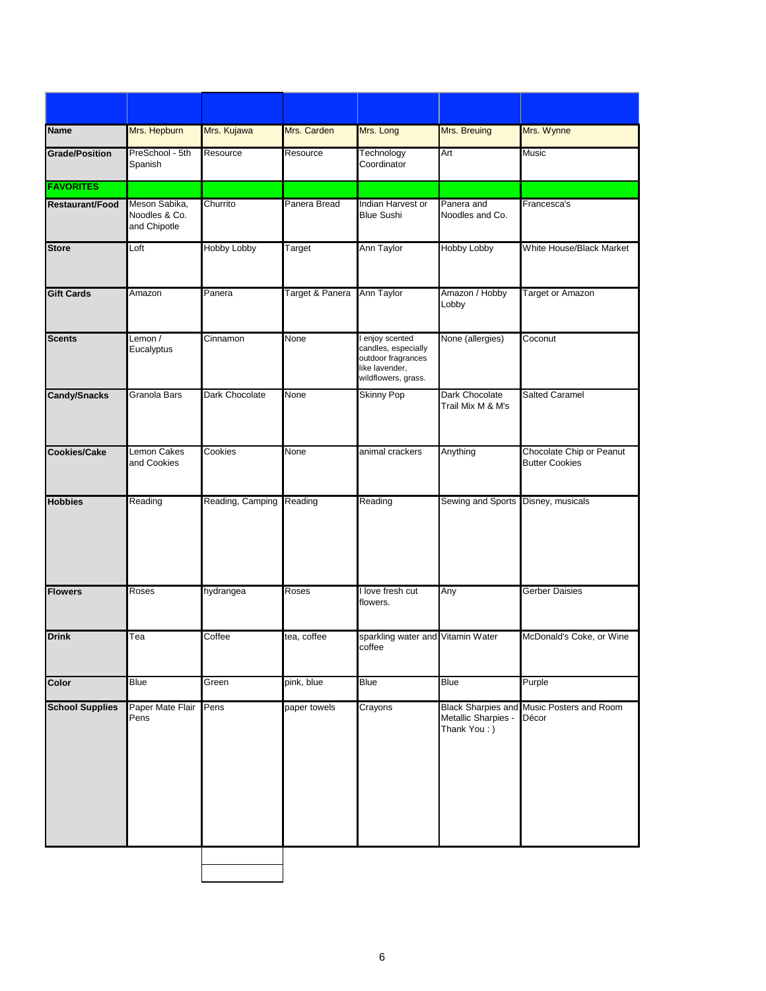| <b>Name</b>            | Mrs. Hepburn                                   | Mrs. Kujawa        | Mrs. Carden     | Mrs. Long                                                                                           | Mrs. Breuing                        | Mrs. Wynne                                         |
|------------------------|------------------------------------------------|--------------------|-----------------|-----------------------------------------------------------------------------------------------------|-------------------------------------|----------------------------------------------------|
| <b>Grade/Position</b>  | PreSchool - 5th<br>Spanish                     | Resource           | Resource        | Technology<br>Coordinator                                                                           | Art                                 | <b>Music</b>                                       |
| <b>FAVORITES</b>       |                                                |                    |                 |                                                                                                     |                                     |                                                    |
| <b>Restaurant/Food</b> | Meson Sabika,<br>Noodles & Co.<br>and Chipotle | Churrito           | Panera Bread    | Indian Harvest or<br><b>Blue Sushi</b>                                                              | Panera and<br>Noodles and Co.       | Francesca's                                        |
| <b>Store</b>           | Loft                                           | <b>Hobby Lobby</b> | Target          | Ann Taylor                                                                                          | <b>Hobby Lobby</b>                  | White House/Black Market                           |
| <b>Gift Cards</b>      | Amazon                                         | Panera             | Target & Panera | Ann Taylor                                                                                          | Amazon / Hobby<br>Lobby             | Target or Amazon                                   |
| <b>Scents</b>          | Lemon /<br>Eucalyptus                          | Cinnamon           | None            | enjoy scented<br>candles, especially<br>outdoor fragrances<br>like lavender,<br>wildflowers, grass. | None (allergies)                    | Coconut                                            |
| <b>Candy/Snacks</b>    | Granola Bars                                   | Dark Chocolate     | None            | <b>Skinny Pop</b>                                                                                   | Dark Chocolate<br>Trail Mix M & M's | <b>Salted Caramel</b>                              |
| <b>Cookies/Cake</b>    | Lemon Cakes<br>and Cookies                     | Cookies            | None            | animal crackers                                                                                     | Anything                            | Chocolate Chip or Peanut<br><b>Butter Cookies</b>  |
| <b>Hobbies</b>         | Reading                                        | Reading, Camping   | Reading         | Reading                                                                                             | Sewing and Sports Disney, musicals  |                                                    |
| <b>Flowers</b>         | Roses                                          | hydrangea          | Roses           | I love fresh cut<br>flowers.                                                                        | Any                                 | <b>Gerber Daisies</b>                              |
| <b>Drink</b>           | Tea                                            | Coffee             | tea, coffee     | sparkling water and Vitamin Water<br>coffee                                                         |                                     | McDonald's Coke, or Wine                           |
| Color                  | Blue                                           | Green              | pink, blue      | Blue                                                                                                | Blue                                | Purple                                             |
| <b>School Supplies</b> | Paper Mate Flair<br>Pens                       | Pens               | paper towels    | Crayons                                                                                             | Metallic Sharpies -<br>Thank You: ) | Black Sharpies and Music Posters and Room<br>Décor |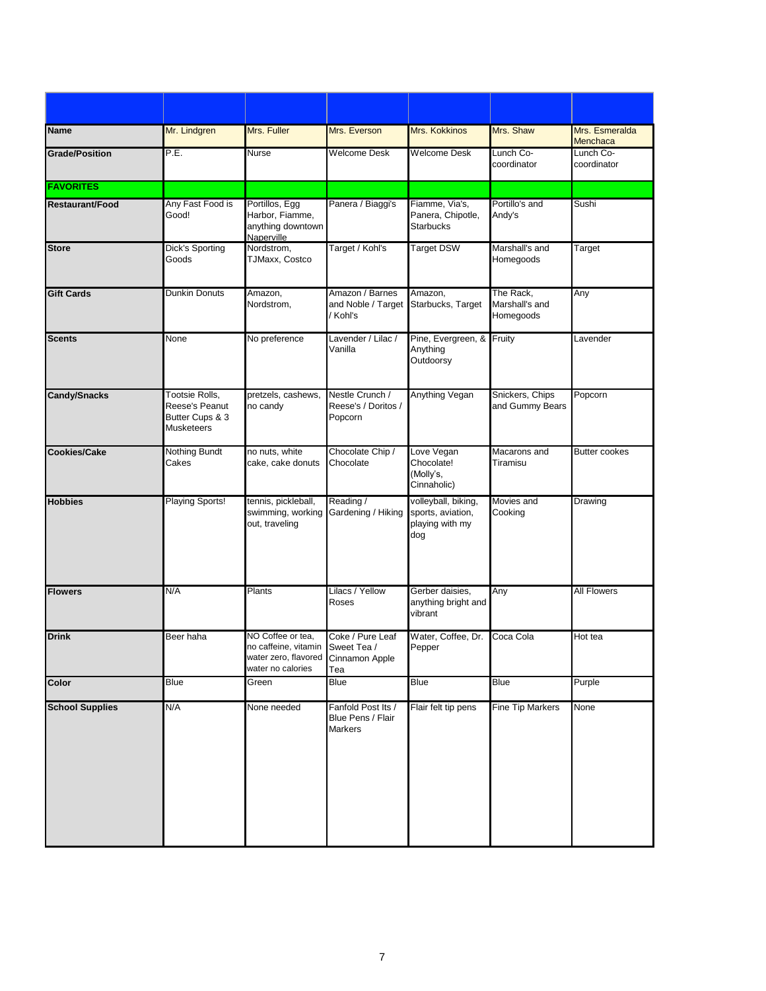| <b>Name</b>            | Mr. Lindgren                                                             | Mrs. Fuller                                                                                        | Mrs. Everson                                              | Mrs. Kokkinos                                                      | Mrs. Shaw                                | Mrs. Esmeralda<br>Menchaca |
|------------------------|--------------------------------------------------------------------------|----------------------------------------------------------------------------------------------------|-----------------------------------------------------------|--------------------------------------------------------------------|------------------------------------------|----------------------------|
| <b>Grade/Position</b>  | P.E.                                                                     | Nurse                                                                                              | <b>Welcome Desk</b>                                       | <b>Welcome Desk</b>                                                | Lunch Co-<br>coordinator                 | Lunch Co-<br>coordinator   |
| <b>FAVORITES</b>       |                                                                          |                                                                                                    |                                                           |                                                                    |                                          |                            |
| <b>Restaurant/Food</b> | Any Fast Food is<br>Good!                                                | Portillos, Egg<br>Harbor, Fiamme,<br>anything downtown<br>Naperville                               | Panera / Biaggi's                                         | Fiamme, Via's,<br>Panera, Chipotle,<br><b>Starbucks</b>            | Portillo's and<br>Andy's                 | Sushi                      |
| <b>Store</b>           | <b>Dick's Sporting</b><br>Goods                                          | Nordstrom,<br>TJMaxx, Costco                                                                       | Target / Kohl's                                           | <b>Target DSW</b>                                                  | Marshall's and<br>Homegoods              | Target                     |
| <b>Gift Cards</b>      | <b>Dunkin Donuts</b>                                                     | Amazon,<br>Nordstrom,                                                                              | Amazon / Barnes<br>and Noble / Target<br>/ Kohl's         | Amazon,<br>Starbucks, Target                                       | The Rack,<br>Marshall's and<br>Homegoods | Any                        |
| <b>Scents</b>          | None                                                                     | No preference                                                                                      | Lavender / Lilac /<br>Vanilla                             | Pine, Evergreen, &<br>Anything<br>Outdoorsy                        | Fruity                                   | Lavender                   |
| <b>Candy/Snacks</b>    | Tootsie Rolls,<br>Reese's Peanut<br>Butter Cups & 3<br><b>Musketeers</b> | pretzels, cashews,<br>no candy                                                                     | Nestle Crunch /<br>Reese's / Doritos /<br>Popcorn         | Anything Vegan                                                     | Snickers, Chips<br>and Gummy Bears       | Popcorn                    |
| <b>Cookies/Cake</b>    | <b>Nothing Bundt</b><br>Cakes                                            | no nuts, white<br>cake, cake donuts                                                                | Chocolate Chip /<br>Chocolate                             | Love Vegan<br>Chocolate!<br>(Molly's,<br>Cinnaholic)               | Macarons and<br>Tiramisu                 | <b>Butter cookes</b>       |
| <b>Hobbies</b>         | Playing Sports!                                                          | tennis, pickleball,<br>swimming, working<br>out, traveling                                         | Reading /<br>Gardening / Hiking                           | volleyball, biking,<br>sports, aviation,<br>playing with my<br>dog | Movies and<br>Cooking                    | Drawing                    |
| <b>Flowers</b>         | N/A                                                                      | Plants                                                                                             | Lilacs / Yellow<br>Roses                                  | Gerber daisies,<br>anything bright and<br>vibrant                  | Any                                      | <b>All Flowers</b>         |
| <b>Drink</b>           | Beer haha                                                                | NO Coffee or tea,<br>no caffeine, vitamin Sweet Tea /<br>water zero, flavored<br>water no calories | Coke / Pure Leaf<br>Cinnamon Apple<br>Tea                 | Water, Coffee, Dr.<br>Pepper                                       | Coca Cola                                | Hot tea                    |
| Color                  | <b>Blue</b>                                                              | Green                                                                                              | <b>Blue</b>                                               | <b>Blue</b>                                                        | <b>Blue</b>                              | Purple                     |
| <b>School Supplies</b> | N/A                                                                      | None needed                                                                                        | Fanfold Post Its /<br>Blue Pens / Flair<br><b>Markers</b> | Flair felt tip pens                                                | <b>Fine Tip Markers</b>                  | None                       |